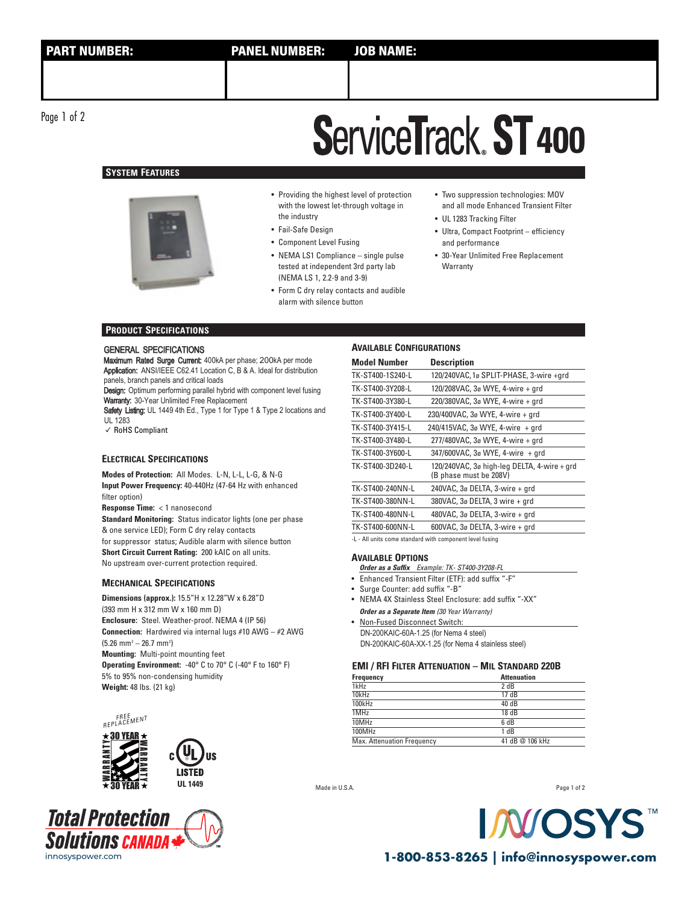Page 1 of 2

## **ServiceTrack ST 400**

## **SYSTEM FEATURES**



- Providing the highest level of protection with the lowest let-through voltage in the industry
- Fail-Safe Design
- Component Level Fusing
- NEMA LS1 Compliance single pulse tested at independent 3rd party lab (NEMA LS 1, 2.2-9 and 3-9)
- Form C dry relay contacts and audible alarm with silence button
- Two suppression technologies: MOV and all mode Enhanced Transient Filter
- UL 1283 Tracking Filter
- Ultra, Compact Footprint efficiency and performance
- 30-Year Unlimited Free Replacement **Warranty**

### **PRODUCT SPECIFICATIONS**

### GENERAL SPECIFICATIONS

Maximum Rated Surge Current: 400kA per phase; 200kA per mode Application: ANSI/IEEE C62.41 Location C, B & A. Ideal for distribution panels, branch panels and critical loads

Design: Optimum performing parallel hybrid with component level fusing Warranty: 30-Year Unlimited Free Replacement

Safety Listing: UL 1449 4th Ed., Type 1 for Type 1 & Type 2 locations and UL 1283

✓ RoHS Compliant

### **ELECTRICAL SPECIFICATIONS**

**Modes of Protection:** All Modes. L-N, L-L, L-G, & N-G **Input Power Frequency:** 40-440Hz (47-64 Hz with enhanced filter option)

**Response Time:** < 1 nanosecond

**Standard Monitoring:** Status indicator lights (one per phase & one service LED); Form C dry relay contacts for suppressor status; Audible alarm with silence button **Short Circuit Current Rating:** 200 kAIC on all units.

No upstream over-current protection required.

### **MECHANICAL SPECIFICATIONS**

**Dimensions (approx.):** 15.5"H x 12.28"W x 6.28"D (393 mm H x 312 mm W x 160 mm D) **Enclosure:** Steel. Weather-proof. NEMA 4 (IP 56) **Connection:** Hardwired via internal lugs #10 AWG – #2 AWG  $(5.26 \text{ mm}^2 - 26.7 \text{ mm}^2)$ **Mounting:** Multi-point mounting feet **Operating Environment:** -40° C to 70° C (-40° F to 160° F) 5% to 95% non-condensing humidity **Weight:** 48 lbs. (21 kg)

ШS





### **AVAILABLE CONFIGURATIONS**

| <b>Model Number</b>                                                                                                                                                                           | <b>Description</b>                                                    |  |  |  |  |  |
|-----------------------------------------------------------------------------------------------------------------------------------------------------------------------------------------------|-----------------------------------------------------------------------|--|--|--|--|--|
| TK-ST400-1S240-L                                                                                                                                                                              | 120/240VAC, 1ø SPLIT-PHASE, 3-wire +qrd                               |  |  |  |  |  |
| TK-ST400-3Y208-L                                                                                                                                                                              | 120/208VAC, 3ø WYE, 4-wire + grd                                      |  |  |  |  |  |
| TK-ST400-3Y380-L                                                                                                                                                                              | 220/380VAC, 3ø WYE, 4-wire + grd                                      |  |  |  |  |  |
| TK-ST400-3Y400-L                                                                                                                                                                              | 230/400VAC, 3ø WYE, 4-wire + grd                                      |  |  |  |  |  |
| TK-ST400-3Y415-L                                                                                                                                                                              | $240/415$ VAC, $3\sigma$ WYE, 4-wire + grd                            |  |  |  |  |  |
| TK-ST400-3Y480-L                                                                                                                                                                              | 277/480VAC, 3ø WYE, 4-wire + grd                                      |  |  |  |  |  |
| TK-ST400-3Y600-L                                                                                                                                                                              | 347/600VAC, 3ø WYE, 4-wire + qrd                                      |  |  |  |  |  |
| TK-ST400-3D240-L                                                                                                                                                                              | 120/240VAC, 3ø high-leg DELTA, 4-wire + grd<br>(B phase must be 208V) |  |  |  |  |  |
| TK-ST400-240NN-L                                                                                                                                                                              | 240VAC, 3ø DELTA, 3-wire + grd                                        |  |  |  |  |  |
| TK-ST400-380NN-L                                                                                                                                                                              | 380VAC, 3ø DELTA, 3 wire + grd                                        |  |  |  |  |  |
| TK-ST400-480NN-L                                                                                                                                                                              | 480VAC, 3ø DELTA, 3-wire + grd                                        |  |  |  |  |  |
| TK-ST400-600NN-L                                                                                                                                                                              | 600VAC, 3ø DELTA, 3-wire + grd                                        |  |  |  |  |  |
| $\mathbf{r} = \mathbf{r} \mathbf{u} + \mathbf{v} \mathbf{v}$ , and $\mathbf{r} = \mathbf{r} \mathbf{v}$ , and $\mathbf{r} = \mathbf{r} \mathbf{v}$ , and $\mathbf{r} = \mathbf{r} \mathbf{v}$ |                                                                       |  |  |  |  |  |

-L - All units come standard with component level fusing

### **AVAILABLE OPTIONS**

- **Order as a Suffix** Example: TK- ST400-3Y208-FL
- Enhanced Transient Filter (ETF): add suffix "-F"
- Surge Counter: add suffix "-B"
- NEMA 4X Stainless Steel Enclosure: add suffix "-XX" **Order as a Separate Item** (30 Year Warranty)
- Non-Fused Disconnect Switch: DN-200KAIC-60A-1.25 (for Nema 4 steel) DN-200KAIC-60A-XX-1.25 (for Nema 4 stainless steel)

### **EMI / RFI FILTER ATTENUATION – MIL STANDARD 220B**

| Frequency                  | <b>Attenuation</b> |  |  |  |
|----------------------------|--------------------|--|--|--|
| 1kHz                       | 2 dB               |  |  |  |
| 10kHz                      | 17 dB              |  |  |  |
| 100kHz                     | 40 dB              |  |  |  |
| 1MHz                       | 18 dB              |  |  |  |
| 10MHz                      | 6 dB               |  |  |  |
| 100MHz                     | 1 dB               |  |  |  |
| Max. Attenuation Frequency | 41 dB @ 106 kHz    |  |  |  |

Made in U.S.A.

Page 1 of 2

**N/OS** 

innosyspower.com **1-800-853-8265 | info@innosyspower.com**